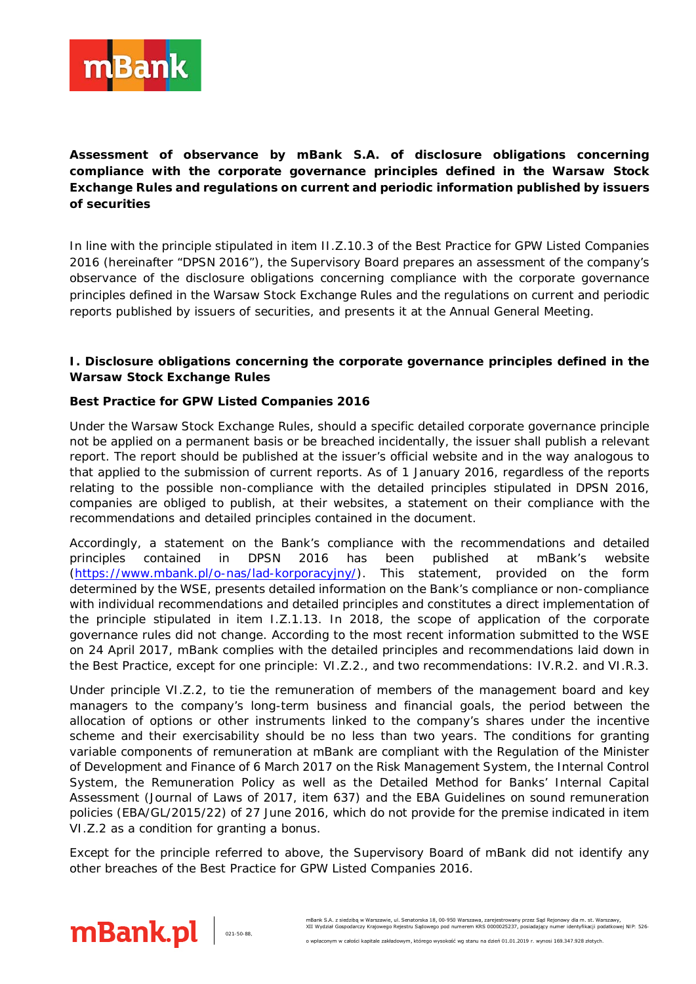

**Assessment of observance by mBank S.A. of disclosure obligations concerning compliance with the corporate governance principles defined in the Warsaw Stock Exchange Rules and regulations on current and periodic information published by issuers of securities**

In line with the principle stipulated in item II.Z.10.3 of the Best Practice for GPW Listed Companies 2016 (hereinafter "DPSN 2016"), the Supervisory Board prepares an assessment of the company's observance of the disclosure obligations concerning compliance with the corporate governance principles defined in the Warsaw Stock Exchange Rules and the regulations on current and periodic reports published by issuers of securities, and presents it at the Annual General Meeting.

## **I. Disclosure obligations concerning the corporate governance principles defined in the Warsaw Stock Exchange Rules**

## **Best Practice for GPW Listed Companies 2016**

Under the Warsaw Stock Exchange Rules, should a specific detailed corporate governance principle not be applied on a permanent basis or be breached incidentally, the issuer shall publish a relevant report. The report should be published at the issuer's official website and in the way analogous to that applied to the submission of current reports. As of 1 January 2016, regardless of the reports relating to the possible non-compliance with the detailed principles stipulated in DPSN 2016, companies are obliged to publish, at their websites, a statement on their compliance with the recommendations and detailed principles contained in the document.

Accordingly, a statement on the Bank's compliance with the recommendations and detailed principles contained in DPSN 2016 has been published at mBank's website [\(https://www.mbank.pl/o-nas/lad-korporacyjny/\)](https://www.mbank.pl/o-nas/lad-korporacyjny/). This statement, provided on the form determined by the WSE, presents detailed information on the Bank's compliance or non-compliance with individual recommendations and detailed principles and constitutes a direct implementation of the principle stipulated in item I.Z.1.13. In 2018, the scope of application of the corporate governance rules did not change. According to the most recent information submitted to the WSE on 24 April 2017, mBank complies with the detailed principles and recommendations laid down in the Best Practice, except for one principle: VI.Z.2., and two recommendations: IV.R.2. and VI.R.3.

Under principle VI.Z.2, to tie the remuneration of members of the management board and key managers to the company's long-term business and financial goals, the period between the allocation of options or other instruments linked to the company's shares under the incentive scheme and their exercisability should be no less than two years. The conditions for granting variable components of remuneration at mBank are compliant with the Regulation of the Minister of Development and Finance of 6 March 2017 on the Risk Management System, the Internal Control System, the Remuneration Policy as well as the Detailed Method for Banks' Internal Capital Assessment (Journal of Laws of 2017, item 637) and the EBA Guidelines on sound remuneration policies (EBA/GL/2015/22) of 27 June 2016, which do not provide for the premise indicated in item VI.Z.2 as a condition for granting a bonus.

Except for the principle referred to above, the Supervisory Board of mBank did not identify any other breaches of the Best Practice for GPW Listed Companies 2016.